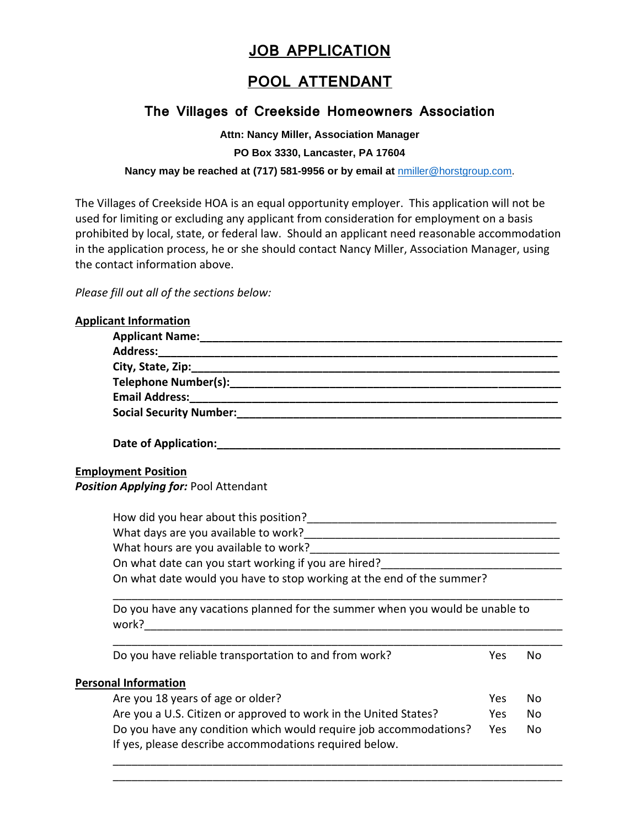# **JOB APPLICATION**

## **POOL ATTENDANT**

### **The Villages of Creekside Homeowners Association**

**Attn: Nancy Miller, Association Manager**

**PO Box 3330, Lancaster, PA 17604**

#### **Nancy may be reached at (717) 581-9956 or by email at** [nmiller@horstgroup.com.](mailto:nmiller@horstgroup.com)

The Villages of Creekside HOA is an equal opportunity employer. This application will not be used for limiting or excluding any applicant from consideration for employment on a basis prohibited by local, state, or federal law. Should an applicant need reasonable accommodation in the application process, he or she should contact Nancy Miller, Association Manager, using the contact information above.

*Please fill out all of the sections below:*

| <b>Applicant Information</b>                                                 |     |           |
|------------------------------------------------------------------------------|-----|-----------|
|                                                                              |     |           |
|                                                                              |     |           |
|                                                                              |     |           |
|                                                                              |     |           |
|                                                                              |     |           |
|                                                                              |     |           |
| Date of Application: Management of Application:                              |     |           |
| <b>Employment Position</b>                                                   |     |           |
| Position Applying for: Pool Attendant                                        |     |           |
|                                                                              |     |           |
|                                                                              |     |           |
|                                                                              |     |           |
|                                                                              |     |           |
| On what date would you have to stop working at the end of the summer?        |     |           |
| Do you have any vacations planned for the summer when you would be unable to |     |           |
| Do you have reliable transportation to and from work?                        | Yes | <b>No</b> |
| <b>Personal Information</b>                                                  |     |           |
| Are you 18 years of age or older?                                            | Yes | No        |
| Are you a U.S. Citizen or approved to work in the United States?             | Yes | No        |
| Do you have any condition which would require job accommodations?            | Yes | No        |
| If yes, please describe accommodations required below.                       |     |           |
|                                                                              |     |           |

\_\_\_\_\_\_\_\_\_\_\_\_\_\_\_\_\_\_\_\_\_\_\_\_\_\_\_\_\_\_\_\_\_\_\_\_\_\_\_\_\_\_\_\_\_\_\_\_\_\_\_\_\_\_\_\_\_\_\_\_\_\_\_\_\_\_\_\_\_\_\_\_